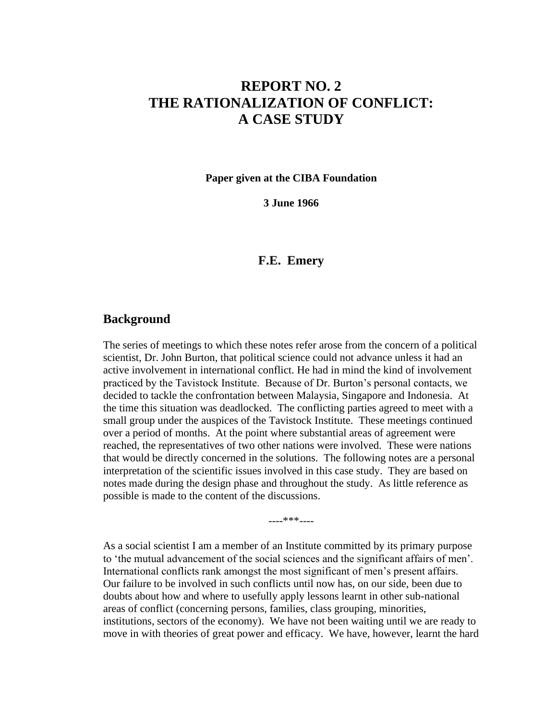## **REPORT NO. 2 THE RATIONALIZATION OF CONFLICT: A CASE STUDY**

**Paper given at the CIBA Foundation**

**3 June 1966**

## **F.E. Emery**

## **Background**

The series of meetings to which these notes refer arose from the concern of a political scientist, Dr. John Burton, that political science could not advance unless it had an active involvement in international conflict. He had in mind the kind of involvement practiced by the Tavistock Institute. Because of Dr. Burton's personal contacts, we decided to tackle the confrontation between Malaysia, Singapore and Indonesia. At the time this situation was deadlocked. The conflicting parties agreed to meet with a small group under the auspices of the Tavistock Institute. These meetings continued over a period of months. At the point where substantial areas of agreement were reached, the representatives of two other nations were involved. These were nations that would be directly concerned in the solutions. The following notes are a personal interpretation of the scientific issues involved in this case study. They are based on notes made during the design phase and throughout the study. As little reference as possible is made to the content of the discussions.

----\*\*\*----

As a social scientist I am a member of an Institute committed by its primary purpose to 'the mutual advancement of the social sciences and the significant affairs of men'. International conflicts rank amongst the most significant of men's present affairs. Our failure to be involved in such conflicts until now has, on our side, been due to doubts about how and where to usefully apply lessons learnt in other sub-national areas of conflict (concerning persons, families, class grouping, minorities, institutions, sectors of the economy). We have not been waiting until we are ready to move in with theories of great power and efficacy. We have, however, learnt the hard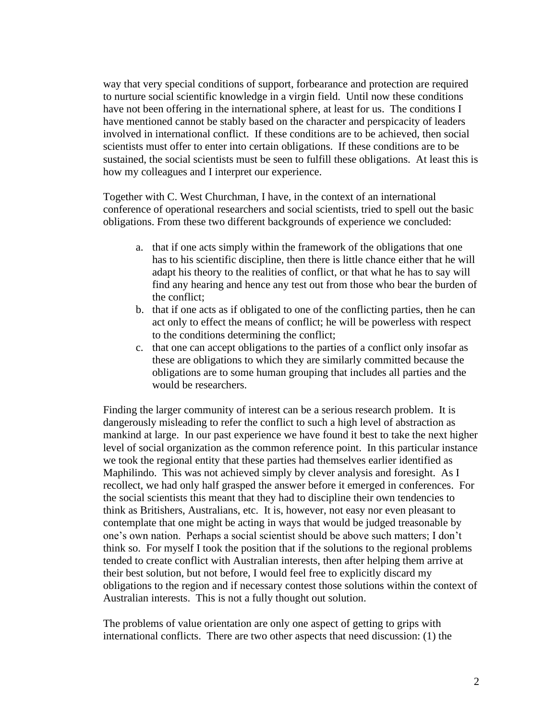way that very special conditions of support, forbearance and protection are required to nurture social scientific knowledge in a virgin field. Until now these conditions have not been offering in the international sphere, at least for us. The conditions I have mentioned cannot be stably based on the character and perspicacity of leaders involved in international conflict. If these conditions are to be achieved, then social scientists must offer to enter into certain obligations. If these conditions are to be sustained, the social scientists must be seen to fulfill these obligations. At least this is how my colleagues and I interpret our experience.

Together with C. West Churchman, I have, in the context of an international conference of operational researchers and social scientists, tried to spell out the basic obligations. From these two different backgrounds of experience we concluded:

- a. that if one acts simply within the framework of the obligations that one has to his scientific discipline, then there is little chance either that he will adapt his theory to the realities of conflict, or that what he has to say will find any hearing and hence any test out from those who bear the burden of the conflict;
- b. that if one acts as if obligated to one of the conflicting parties, then he can act only to effect the means of conflict; he will be powerless with respect to the conditions determining the conflict;
- c. that one can accept obligations to the parties of a conflict only insofar as these are obligations to which they are similarly committed because the obligations are to some human grouping that includes all parties and the would be researchers.

Finding the larger community of interest can be a serious research problem. It is dangerously misleading to refer the conflict to such a high level of abstraction as mankind at large. In our past experience we have found it best to take the next higher level of social organization as the common reference point. In this particular instance we took the regional entity that these parties had themselves earlier identified as Maphilindo. This was not achieved simply by clever analysis and foresight. As I recollect, we had only half grasped the answer before it emerged in conferences. For the social scientists this meant that they had to discipline their own tendencies to think as Britishers, Australians, etc. It is, however, not easy nor even pleasant to contemplate that one might be acting in ways that would be judged treasonable by one's own nation. Perhaps a social scientist should be above such matters; I don't think so. For myself I took the position that if the solutions to the regional problems tended to create conflict with Australian interests, then after helping them arrive at their best solution, but not before, I would feel free to explicitly discard my obligations to the region and if necessary contest those solutions within the context of Australian interests. This is not a fully thought out solution.

The problems of value orientation are only one aspect of getting to grips with international conflicts. There are two other aspects that need discussion: (1) the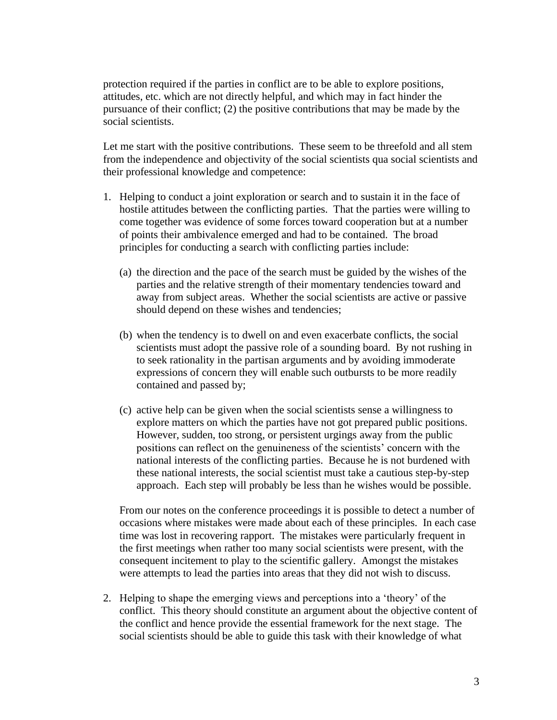protection required if the parties in conflict are to be able to explore positions, attitudes, etc. which are not directly helpful, and which may in fact hinder the pursuance of their conflict; (2) the positive contributions that may be made by the social scientists.

Let me start with the positive contributions. These seem to be threefold and all stem from the independence and objectivity of the social scientists qua social scientists and their professional knowledge and competence:

- 1. Helping to conduct a joint exploration or search and to sustain it in the face of hostile attitudes between the conflicting parties. That the parties were willing to come together was evidence of some forces toward cooperation but at a number of points their ambivalence emerged and had to be contained. The broad principles for conducting a search with conflicting parties include:
	- (a) the direction and the pace of the search must be guided by the wishes of the parties and the relative strength of their momentary tendencies toward and away from subject areas. Whether the social scientists are active or passive should depend on these wishes and tendencies;
	- (b) when the tendency is to dwell on and even exacerbate conflicts, the social scientists must adopt the passive role of a sounding board. By not rushing in to seek rationality in the partisan arguments and by avoiding immoderate expressions of concern they will enable such outbursts to be more readily contained and passed by;
	- (c) active help can be given when the social scientists sense a willingness to explore matters on which the parties have not got prepared public positions. However, sudden, too strong, or persistent urgings away from the public positions can reflect on the genuineness of the scientists' concern with the national interests of the conflicting parties. Because he is not burdened with these national interests, the social scientist must take a cautious step-by-step approach. Each step will probably be less than he wishes would be possible.

From our notes on the conference proceedings it is possible to detect a number of occasions where mistakes were made about each of these principles. In each case time was lost in recovering rapport. The mistakes were particularly frequent in the first meetings when rather too many social scientists were present, with the consequent incitement to play to the scientific gallery. Amongst the mistakes were attempts to lead the parties into areas that they did not wish to discuss.

2. Helping to shape the emerging views and perceptions into a 'theory' of the conflict. This theory should constitute an argument about the objective content of the conflict and hence provide the essential framework for the next stage. The social scientists should be able to guide this task with their knowledge of what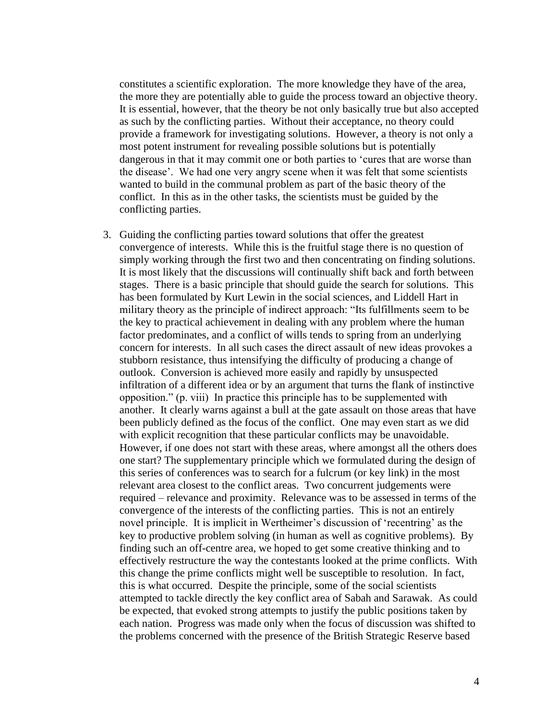constitutes a scientific exploration. The more knowledge they have of the area, the more they are potentially able to guide the process toward an objective theory. It is essential, however, that the theory be not only basically true but also accepted as such by the conflicting parties. Without their acceptance, no theory could provide a framework for investigating solutions. However, a theory is not only a most potent instrument for revealing possible solutions but is potentially dangerous in that it may commit one or both parties to 'cures that are worse than the disease'. We had one very angry scene when it was felt that some scientists wanted to build in the communal problem as part of the basic theory of the conflict. In this as in the other tasks, the scientists must be guided by the conflicting parties.

3. Guiding the conflicting parties toward solutions that offer the greatest convergence of interests. While this is the fruitful stage there is no question of simply working through the first two and then concentrating on finding solutions. It is most likely that the discussions will continually shift back and forth between stages. There is a basic principle that should guide the search for solutions. This has been formulated by Kurt Lewin in the social sciences, and Liddell Hart in military theory as the principle of indirect approach: "Its fulfillments seem to be the key to practical achievement in dealing with any problem where the human factor predominates, and a conflict of wills tends to spring from an underlying concern for interests. In all such cases the direct assault of new ideas provokes a stubborn resistance, thus intensifying the difficulty of producing a change of outlook. Conversion is achieved more easily and rapidly by unsuspected infiltration of a different idea or by an argument that turns the flank of instinctive opposition." (p. viii) In practice this principle has to be supplemented with another. It clearly warns against a bull at the gate assault on those areas that have been publicly defined as the focus of the conflict. One may even start as we did with explicit recognition that these particular conflicts may be unavoidable. However, if one does not start with these areas, where amongst all the others does one start? The supplementary principle which we formulated during the design of this series of conferences was to search for a fulcrum (or key link) in the most relevant area closest to the conflict areas. Two concurrent judgements were required – relevance and proximity. Relevance was to be assessed in terms of the convergence of the interests of the conflicting parties. This is not an entirely novel principle. It is implicit in Wertheimer's discussion of 'recentring' as the key to productive problem solving (in human as well as cognitive problems). By finding such an off-centre area, we hoped to get some creative thinking and to effectively restructure the way the contestants looked at the prime conflicts. With this change the prime conflicts might well be susceptible to resolution. In fact, this is what occurred. Despite the principle, some of the social scientists attempted to tackle directly the key conflict area of Sabah and Sarawak. As could be expected, that evoked strong attempts to justify the public positions taken by each nation. Progress was made only when the focus of discussion was shifted to the problems concerned with the presence of the British Strategic Reserve based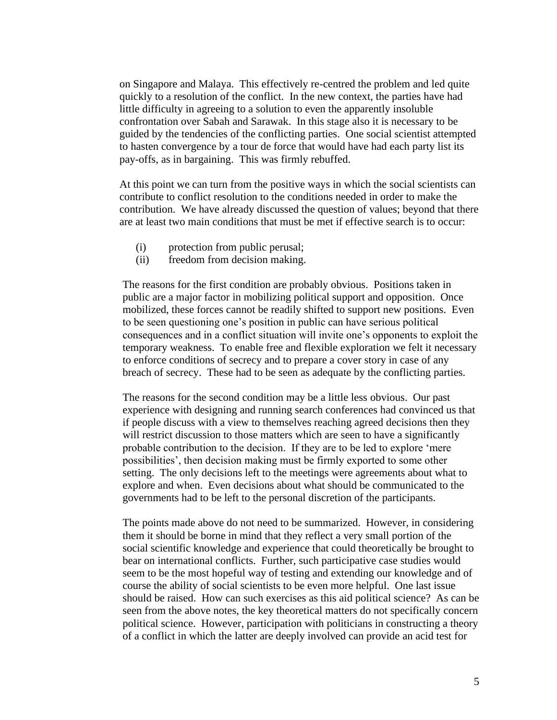on Singapore and Malaya. This effectively re-centred the problem and led quite quickly to a resolution of the conflict. In the new context, the parties have had little difficulty in agreeing to a solution to even the apparently insoluble confrontation over Sabah and Sarawak. In this stage also it is necessary to be guided by the tendencies of the conflicting parties. One social scientist attempted to hasten convergence by a tour de force that would have had each party list its pay-offs, as in bargaining. This was firmly rebuffed.

At this point we can turn from the positive ways in which the social scientists can contribute to conflict resolution to the conditions needed in order to make the contribution. We have already discussed the question of values; beyond that there are at least two main conditions that must be met if effective search is to occur:

- (i) protection from public perusal;
- (ii) freedom from decision making.

The reasons for the first condition are probably obvious. Positions taken in public are a major factor in mobilizing political support and opposition. Once mobilized, these forces cannot be readily shifted to support new positions. Even to be seen questioning one's position in public can have serious political consequences and in a conflict situation will invite one's opponents to exploit the temporary weakness. To enable free and flexible exploration we felt it necessary to enforce conditions of secrecy and to prepare a cover story in case of any breach of secrecy. These had to be seen as adequate by the conflicting parties.

The reasons for the second condition may be a little less obvious. Our past experience with designing and running search conferences had convinced us that if people discuss with a view to themselves reaching agreed decisions then they will restrict discussion to those matters which are seen to have a significantly probable contribution to the decision. If they are to be led to explore 'mere possibilities', then decision making must be firmly exported to some other setting. The only decisions left to the meetings were agreements about what to explore and when. Even decisions about what should be communicated to the governments had to be left to the personal discretion of the participants.

The points made above do not need to be summarized. However, in considering them it should be borne in mind that they reflect a very small portion of the social scientific knowledge and experience that could theoretically be brought to bear on international conflicts. Further, such participative case studies would seem to be the most hopeful way of testing and extending our knowledge and of course the ability of social scientists to be even more helpful. One last issue should be raised. How can such exercises as this aid political science? As can be seen from the above notes, the key theoretical matters do not specifically concern political science. However, participation with politicians in constructing a theory of a conflict in which the latter are deeply involved can provide an acid test for